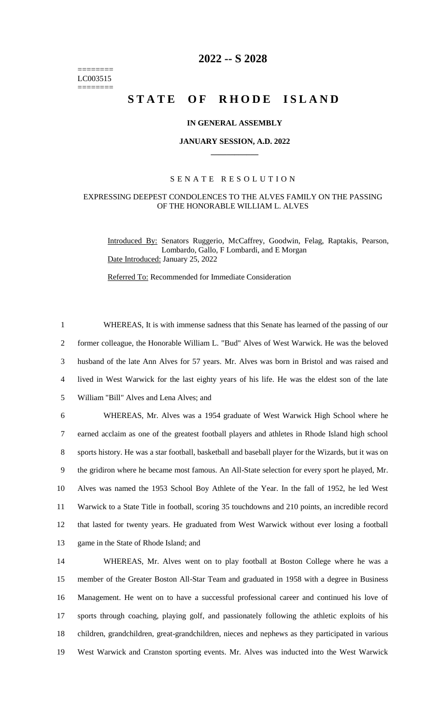======== LC003515 ========

# **2022 -- S 2028**

# **STATE OF RHODE ISLAND**

## **IN GENERAL ASSEMBLY**

#### **JANUARY SESSION, A.D. 2022 \_\_\_\_\_\_\_\_\_\_\_\_**

## S E N A T E R E S O L U T I O N

#### EXPRESSING DEEPEST CONDOLENCES TO THE ALVES FAMILY ON THE PASSING OF THE HONORABLE WILLIAM L. ALVES

Introduced By: Senators Ruggerio, McCaffrey, Goodwin, Felag, Raptakis, Pearson, Lombardo, Gallo, F Lombardi, and E Morgan Date Introduced: January 25, 2022

Referred To: Recommended for Immediate Consideration

 WHEREAS, It is with immense sadness that this Senate has learned of the passing of our former colleague, the Honorable William L. "Bud" Alves of West Warwick. He was the beloved husband of the late Ann Alves for 57 years. Mr. Alves was born in Bristol and was raised and lived in West Warwick for the last eighty years of his life. He was the eldest son of the late William "Bill" Alves and Lena Alves; and WHEREAS, Mr. Alves was a 1954 graduate of West Warwick High School where he earned acclaim as one of the greatest football players and athletes in Rhode Island high school sports history. He was a star football, basketball and baseball player for the Wizards, but it was on the gridiron where he became most famous. An All-State selection for every sport he played, Mr. Alves was named the 1953 School Boy Athlete of the Year. In the fall of 1952, he led West Warwick to a State Title in football, scoring 35 touchdowns and 210 points, an incredible record that lasted for twenty years. He graduated from West Warwick without ever losing a football game in the State of Rhode Island; and

 WHEREAS, Mr. Alves went on to play football at Boston College where he was a member of the Greater Boston All-Star Team and graduated in 1958 with a degree in Business Management. He went on to have a successful professional career and continued his love of sports through coaching, playing golf, and passionately following the athletic exploits of his children, grandchildren, great-grandchildren, nieces and nephews as they participated in various West Warwick and Cranston sporting events. Mr. Alves was inducted into the West Warwick